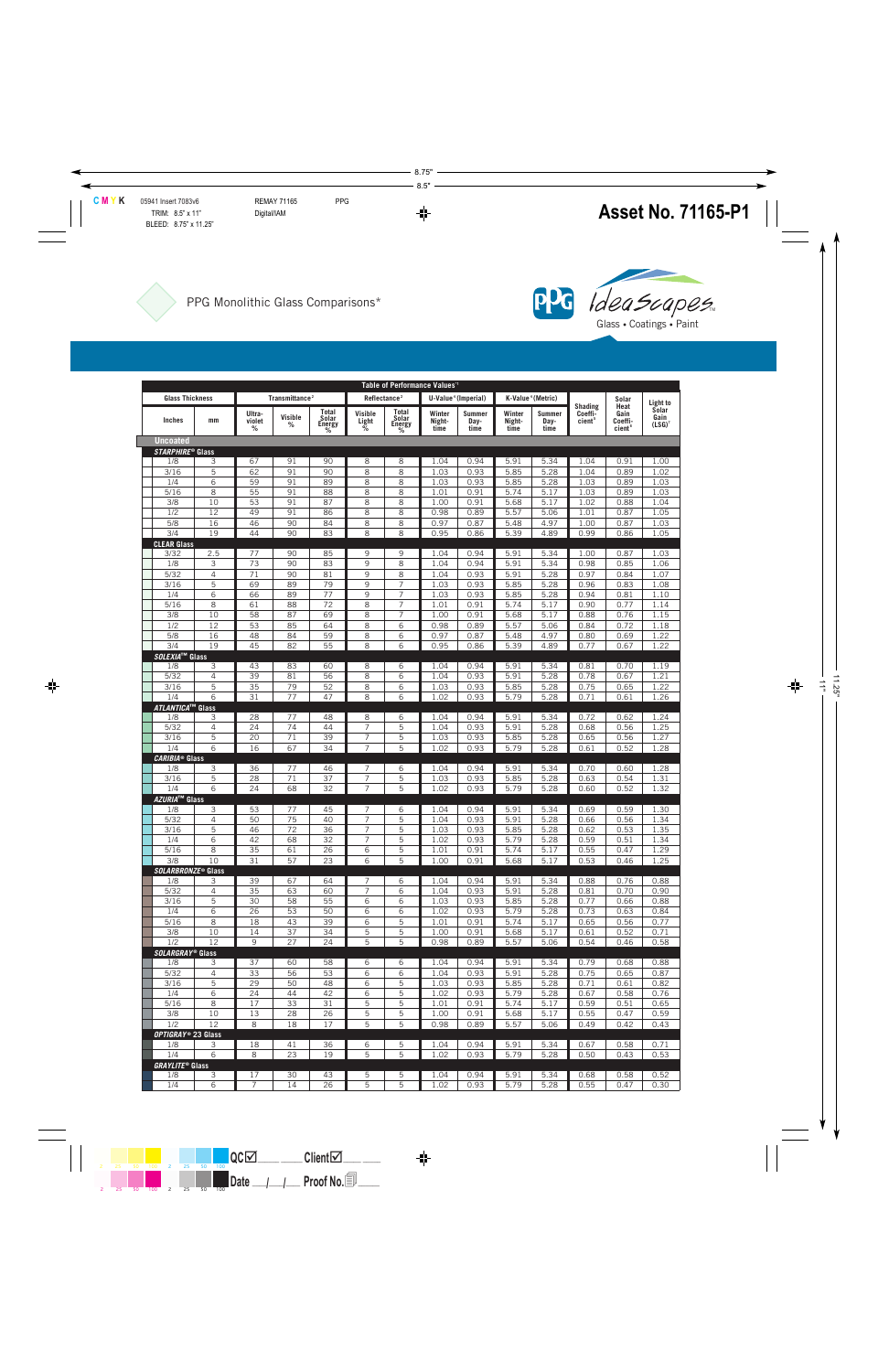



|                                | Table of Performance Values" |                            |              |                                      |                                                             |                          |                          |                               |                          |                               |                             |                                   |                                    |
|--------------------------------|------------------------------|----------------------------|--------------|--------------------------------------|-------------------------------------------------------------|--------------------------|--------------------------|-------------------------------|--------------------------|-------------------------------|-----------------------------|-----------------------------------|------------------------------------|
| <b>Glass Thickness</b>         |                              | Transmittance <sup>2</sup> |              |                                      | U-Value <sup>4</sup> (Imperial)<br>Reflectance <sup>2</sup> |                          |                          |                               |                          | K-Value <sup>4</sup> (Metric) |                             | Solar                             |                                    |
| Inches                         | mm                           | Ultra-<br>violet<br>%      | Visible<br>℅ | Total<br>Solar<br><b>Energy</b><br>% | Visible<br>Light<br>%                                       | Total<br>Solar<br>Energy | Winter<br>Night-<br>time | <b>Summer</b><br>Day-<br>time | Winter<br>Night-<br>time | <b>Summer</b><br>Day-<br>time | Shading<br>Coeffi-<br>cient | Heat<br>Gain<br>Coeffi-<br>cient' | Light to<br>Solar<br>Gain<br>(LSG) |
| <b>Uncoated</b>                |                              |                            |              |                                      |                                                             |                          |                          |                               |                          |                               |                             |                                   |                                    |
| STARPHIRE® Glass               |                              |                            |              |                                      |                                                             |                          |                          |                               |                          |                               |                             |                                   |                                    |
| 1/8                            | 3                            | 67                         | 91           | 90                                   | 8                                                           | 8                        | 1.04                     | 0.94                          | 5.91                     | 5.34                          | 1.04                        | 0.91                              | 1.00                               |
| 3/16                           | 5                            | 62                         | 91           | 90                                   | 8                                                           | 8                        | 1.03                     | 0.93                          | 5.85                     | 5.28                          | 1.04                        | 0.89                              | 1.02                               |
| 1/4                            | 6                            | 59                         | 91           | 89                                   | 8                                                           | 8                        | 1.03                     | 0.93                          | 5.85                     | 5.28                          | 1.03                        | 0.89                              | 1.03                               |
| 5/16                           | 8                            | 55                         | 91           | 88                                   | 8                                                           | 8                        | 1.01                     | 0.91                          | 5.74                     | 5.17                          | 1.03                        | 0.89                              | 1.03                               |
| 3/8                            | 10                           | 53                         | 91           | 87                                   | 8                                                           | 8                        | 1.00                     | 0.91                          | 5.68                     | 5.17                          | 1.02                        | 0.88                              | 1.04                               |
| 1/2<br>5/8                     | 12<br>16                     | 49<br>46                   | 91<br>90     | 86<br>84                             | 8<br>8                                                      | 8<br>8                   | 0.98<br>0.97             | 0.89<br>0.87                  | 5.57<br>5.48             | 5.06<br>4.97                  | 1.01<br>1.00                | 0.87<br>0.87                      | 1.05<br>1.03                       |
| 3/4                            | 19                           | 44                         | 90           | 83                                   | 8                                                           | 8                        | 0.95                     | 0.86                          | 5.39                     | 4.89                          | 0.99                        | 0.86                              | 1.05                               |
| <b>CLEAR Glass</b>             |                              |                            |              |                                      |                                                             |                          |                          |                               |                          |                               |                             |                                   |                                    |
| 3/32                           | 2.5                          | 77                         | 90           | 85                                   | 9                                                           | 9                        | 1.04                     | 0.94                          | 5.91                     | 5.34                          | 1.00                        | 0.87                              | 1.03                               |
| 1/8                            | 3                            | 73                         | 90           | 83                                   | 9                                                           | 8                        | 1.04                     | 0.94                          | 5.91                     | 5.34                          | 0.98                        | 0.85                              | 1.06                               |
| 5/32                           | $\overline{4}$               | 71                         | 90           | 81                                   | 9                                                           | 8                        | 1.04                     | 0.93                          | 5.91                     | 5.28                          | 0.97                        | 0.84                              | 1.07                               |
| 3/16                           | 5                            | 69                         | 89           | 79                                   | 9                                                           | 7                        | 1.03                     | 0.93                          | 5.85                     | 5.28                          | 0.96                        | 0.83                              | 1.08                               |
| 1/4                            | 6                            | 66                         | 89           | 77                                   | 9                                                           | 7                        | 1.03                     | 0.93                          | 5.85                     | 5.28                          | 0.94                        | 0.81                              | 1.10                               |
| 5/16<br>3/8                    | 8<br>10                      | 61<br>58                   | 88<br>87     | 72<br>69                             | 8<br>8                                                      | 7<br>$\overline{7}$      | 1.01<br>1.00             | 0.91<br>0.91                  | 5.74<br>5.68             | 5.17<br>5.17                  | 0.90<br>0.88                | 0.77<br>0.76                      | 1.14<br>1.15                       |
| 1/2                            | 12                           | 53                         | 85           | 64                                   | 8                                                           | 6                        | 0.98                     | 0.89                          | 5.57                     | 5.06                          | 0.84                        | 0.72                              | 1.18                               |
| 5/8                            | 16                           | 48                         | 84           | 59                                   | 8                                                           | 6                        | 0.97                     | 0.87                          | 5.48                     | 4.97                          | 0.80                        | 0.69                              | 1.22                               |
| 3/4                            | 19                           | 45                         | 82           | 55                                   | 8                                                           | 6                        | 0.95                     | 0.86                          | 5.39                     | 4.89                          | 0.77                        | 0.67                              | 1.22                               |
| SOLEXIA <sup>™</sup> Glass     |                              |                            |              |                                      |                                                             |                          |                          |                               |                          |                               |                             |                                   |                                    |
| 1/8                            | 3                            | 43                         | 83           | 60                                   | 8                                                           | 6                        | 1.04                     | 0.94                          | 5.91                     | 5.34                          | 0.81                        | 0.70                              | 1.19                               |
| 5/32                           | $\overline{4}$               | 39                         | 81           | 56                                   | 8                                                           | 6                        | 1.04                     | 0.93                          | 5.91                     | 5.28                          | 0.78                        | 0.67                              | 1.21                               |
| 3/16<br>1/4                    | 5<br>6                       | 35<br>31                   | 79<br>77     | 52<br>47                             | 8<br>8                                                      | 6<br>6                   | 1.03                     | 0.93                          | 5.85                     | 5.28                          | 0.75                        | 0.65                              | 1.22                               |
| <i><b>ATLANTICA™ Glass</b></i> |                              |                            |              |                                      |                                                             |                          | 1.02                     | 0.93                          | 5.79                     | 5.28                          | 0.71                        | 0.61                              | 1.26                               |
| 1/8                            | 3                            | 28                         | 77           | 48                                   | 8                                                           | 6                        | 1.04                     | 0.94                          | 5.91                     | 5.34                          | 0.72                        | 0.62                              | 1.24                               |
| 5/32                           | $\overline{4}$               | 24                         | 74           | 44                                   | $\overline{7}$                                              | 5                        | 1.04                     | 0.93                          | 5.91                     | 5.28                          | 0.68                        | 0.56                              | 1.25                               |
| 3/16                           | 5                            | 20                         | 71           | 39                                   | 7                                                           | 5                        | 1.03                     | 0.93                          | 5.85                     | 5.28                          | 0.65                        | 0.56                              | 1.27                               |
| 1/4                            | 6                            | 16                         | 67           | 34                                   | $\overline{7}$                                              | 5                        | 1.02                     | 0.93                          | 5.79                     | 5.28                          | 0.61                        | 0.52                              | 1.28                               |
| <b>CARIBIA® Glass</b>          |                              |                            |              |                                      |                                                             |                          |                          |                               |                          |                               |                             |                                   |                                    |
| 1/8<br>3/16                    | 3<br>5                       | 36<br>28                   | 77<br>71     | 46<br>37                             | 7<br>$\overline{7}$                                         | 6<br>5                   | 1.04<br>1.03             | 0.94<br>0.93                  | 5.91<br>5.85             | 5.34<br>5.28                  | 0.70<br>0.63                | 0.60<br>0.54                      | 1.28<br>1.31                       |
| 1/4                            | 6                            | 24                         | 68           | 32                                   | $\overline{7}$                                              | 5                        | 1.02                     | 0.93                          | 5.79                     | 5.28                          | 0.60                        | 0.52                              | 1.32                               |
| <i>AZURIA</i> ™ Glass          |                              |                            |              |                                      |                                                             |                          |                          |                               |                          |                               |                             |                                   |                                    |
| 1/8                            | 3                            | 53                         | 77           | 45                                   | 7                                                           | 6                        | 1.04                     | 0.94                          | 5.91                     | 5.34                          | 0.69                        | 0.59                              | 1.30                               |
| 5/32                           | $\overline{4}$               | 50                         | 75           | 40                                   | $\overline{7}$                                              | 5                        | 1.04                     | 0.93                          | 5.91                     | 5.28                          | 0.66                        | 0.56                              | 1.34                               |
| 3/16                           | 5                            | 46                         | 72           | 36                                   | 7                                                           | 5                        | 1.03                     | 0.93                          | 5.85                     | 5.28                          | 0.62                        | 0.53                              | 1.35                               |
| 1/4                            | 6                            | 42                         | 68           | 32                                   | $\overline{7}$                                              | 5                        | 1.02                     | 0.93                          | 5.79                     | 5.28                          | 0.59                        | 0.51                              | 1.34                               |
| 5/16<br>3/8                    | 8<br>10                      | 35<br>31                   | 61<br>57     | 26<br>23                             | 6<br>6                                                      | 5<br>5                   | 1.01<br>1.00             | 0.91<br>0.91                  | 5.74<br>5.68             | 5.17<br>5.17                  | 0.55<br>0.53                | 0.47<br>0.46                      | 1.29<br>1.25                       |
| <b>SOLARBRONZE® Glass</b>      |                              |                            |              |                                      |                                                             |                          |                          |                               |                          |                               |                             |                                   |                                    |
| 1/8                            | З                            | 39                         | 67           | 64                                   | 7                                                           | 6                        | 1.04                     | 0.94                          | 5.91                     | 5.34                          | 0.88                        | 0.76                              | 0.88                               |
| 5/32                           | $\overline{4}$               | 35                         | 63           | 60                                   | $\overline{7}$                                              | 6                        | 1.04                     | 0.93                          | 5.91                     | 5.28                          | 0.81                        | 0.70                              | 0.90                               |
| 3/16                           | 5                            | 30                         | 58           | 55                                   | 6                                                           | 6                        | 1.03                     | 0.93                          | 5.85                     | 5.28                          | 0.77                        | 0.66                              | 0.88                               |
| 1/4                            | 6                            | 26                         | 53           | 50                                   | 6                                                           | 6                        | 1.02                     | 0.93                          | 5.79                     | 5.28                          | 0.73                        | 0.63                              | 0.84                               |
| 5/16                           | 8                            | 18                         | 43           | 39                                   | 6                                                           | 5                        | 1.01                     | 0.91                          | 5.74                     | 5.17                          | 0.65                        | 0.56                              | 0.77                               |
| 3/8<br>1/2                     | 10<br>12                     | 14<br>9                    | 37<br>27     | 34<br>24                             | 5<br>5                                                      | 5<br>5                   | 1.00<br>0.98             | 0.91<br>0.89                  | 5.68                     | 5.17<br>5.06                  | 0.61<br>0.54                | 0.52<br>0.46                      | 0.71<br>0.58                       |
| SOLARGRAY® Glass               |                              |                            |              |                                      |                                                             |                          |                          |                               | 5.57                     |                               |                             |                                   |                                    |
| 1/8                            | 3                            | 37                         | 60           | 58                                   | 6                                                           | 6                        | 1.04                     | 0.94                          | 5.91                     | 5.34                          | 0.79                        | 0.68                              | 0.88                               |
| 5/32                           | $\overline{4}$               | 33                         | 56           | 53                                   | 6                                                           | 6                        | 1.04                     | 0.93                          | 5.91                     | 5.28                          | 0.75                        | 0.65                              | 0.87                               |
| 3/16                           | 5                            | 29                         | 50           | 48                                   | 6                                                           | 5                        | 1.03                     | 0.93                          | 5.85                     | 5.28                          | 0.71                        | 0.61                              | 0.82                               |
| 1/4                            | 6                            | 24                         | 44           | 42                                   | 6                                                           | 5                        | 1.02                     | 0.93                          | 5.79                     | 5.28                          | 0.67                        | 0.58                              | 0.76                               |
| $5/16$                         | 8                            | 17                         | 33           | 31                                   | 5                                                           | 5                        | 1.01                     | 0.91                          | 5.74                     | 5.17                          | 0.59                        | 0.51                              | 0.65                               |
| 3/8                            | 10                           | 13                         | 28           | 26                                   | 5                                                           | 5                        | 1.00                     | 0.91                          | 5.68                     | 5.17                          | 0.55                        | 0.47                              | 0.59                               |
| 1/2<br>OPTIGRAY® 23 Glass      | 12                           | 8                          | 18           | 17                                   | 5                                                           | 5                        | 0.98                     | 0.89                          | 5.57                     | 5.06                          | 0.49                        | 0.42                              | 0.43                               |
| 1/8                            | 3                            | 18                         | 41           | 36                                   | 6                                                           | 5                        | 1.04                     | 0.94                          | 5.91                     | 5.34                          | 0.67                        | 0.58                              | 0.71                               |
| 1/4                            | 6                            | 8                          | 23           | 19                                   | 5                                                           | 5                        | 1.02                     | 0.93                          | 5.79                     | 5.28                          | 0.50                        | 0.43                              | 0.53                               |
| <b>GRAYLITE® Glass</b>         |                              |                            |              |                                      |                                                             |                          |                          |                               |                          |                               |                             |                                   |                                    |
| 1/8                            | 3                            | 17                         | 30           | 43                                   | 5                                                           | 5                        | 1.04                     | 0.94                          | 5.91                     | 5.34                          | 0.68                        | 0.58                              | 0.52                               |
| 1/4                            | 6                            | $\overline{7}$             | 14           | 26                                   | 5                                                           | 5                        | 1.02                     | 0.93                          | 5.79                     | 5.28                          | 0.55                        | 0.47                              | 0.30                               |